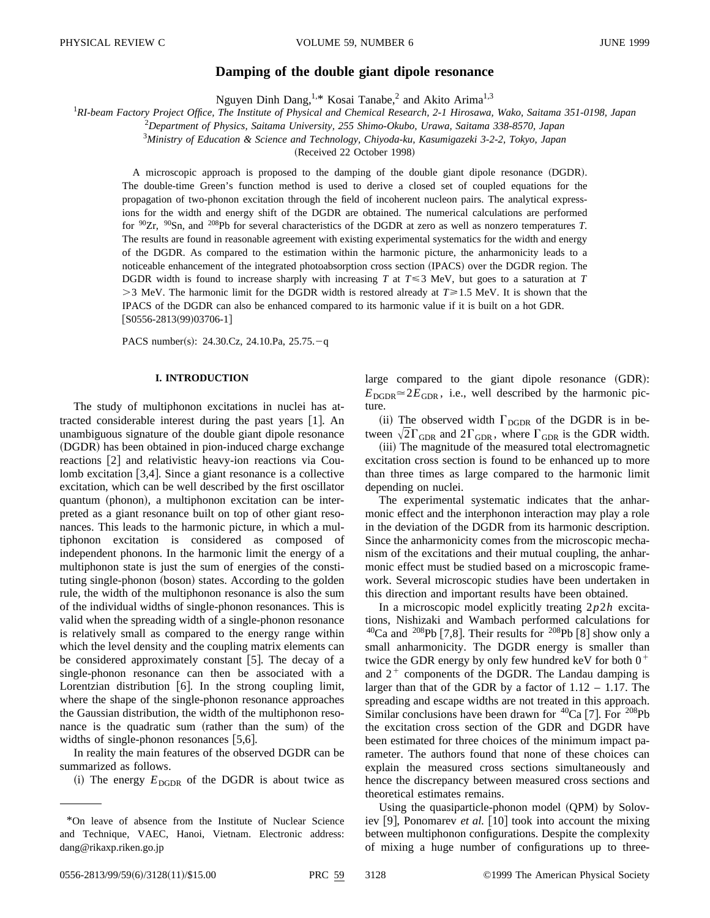# **Damping of the double giant dipole resonance**

Nguyen Dinh Dang,<sup>1,\*</sup> Kosai Tanabe,<sup>2</sup> and Akito Arima<sup>1,3</sup>

1 *RI-beam Factory Project Office, The Institute of Physical and Chemical Research, 2-1 Hirosawa, Wako, Saitama 351-0198, Japan*

2 *Department of Physics, Saitama University, 255 Shimo-Okubo, Urawa, Saitama 338-8570, Japan*

3 *Ministry of Education & Science and Technology, Chiyoda-ku, Kasumigazeki 3-2-2, Tokyo, Japan*

(Received 22 October 1998)

A microscopic approach is proposed to the damping of the double giant dipole resonance (DGDR). The double-time Green's function method is used to derive a closed set of coupled equations for the propagation of two-phonon excitation through the field of incoherent nucleon pairs. The analytical expressions for the width and energy shift of the DGDR are obtained. The numerical calculations are performed for 90Zr, 90Sn, and 208Pb for several characteristics of the DGDR at zero as well as nonzero temperatures *T*. The results are found in reasonable agreement with existing experimental systematics for the width and energy of the DGDR. As compared to the estimation within the harmonic picture, the anharmonicity leads to a noticeable enhancement of the integrated photoabsorption cross section (IPACS) over the DGDR region. The DGDR width is found to increase sharply with increasing *T* at  $T \le 3$  MeV, but goes to a saturation at *T*  $>$ 3 MeV. The harmonic limit for the DGDR width is restored already at  $T \ge 1.5$  MeV. It is shown that the IPACS of the DGDR can also be enhanced compared to its harmonic value if it is built on a hot GDR.  $[$ S0556-2813(99)03706-1]

PACS number(s): 24.30.Cz, 24.10.Pa, 25.75. $-q$ 

### **I. INTRODUCTION**

The study of multiphonon excitations in nuclei has attracted considerable interest during the past years  $[1]$ . An unambiguous signature of the double giant dipole resonance (DGDR) has been obtained in pion-induced charge exchange reactions [2] and relativistic heavy-ion reactions via Coulomb excitation  $[3,4]$ . Since a giant resonance is a collective excitation, which can be well described by the first oscillator quantum (phonon), a multiphonon excitation can be interpreted as a giant resonance built on top of other giant resonances. This leads to the harmonic picture, in which a multiphonon excitation is considered as composed of independent phonons. In the harmonic limit the energy of a multiphonon state is just the sum of energies of the constituting single-phonon (boson) states. According to the golden rule, the width of the multiphonon resonance is also the sum of the individual widths of single-phonon resonances. This is valid when the spreading width of a single-phonon resonance is relatively small as compared to the energy range within which the level density and the coupling matrix elements can be considered approximately constant  $|5|$ . The decay of a single-phonon resonance can then be associated with a Lorentzian distribution  $[6]$ . In the strong coupling limit, where the shape of the single-phonon resonance approaches the Gaussian distribution, the width of the multiphonon resonance is the quadratic sum (rather than the sum) of the widths of single-phonon resonances  $[5,6]$ .

In reality the main features of the observed DGDR can be summarized as follows.

 $(i)$  The energy  $E_{\text{DGDR}}$  of the DGDR is about twice as

large compared to the giant dipole resonance  $(GDR)$ :  $E_{\text{DGDR}} \approx 2E_{\text{GDR}}$ , i.e., well described by the harmonic picture.

(ii) The observed width  $\Gamma_{\text{DGDR}}$  of the DGDR is in between  $\sqrt{2}\Gamma_{\text{GDR}}$  and  $2\Gamma_{\text{GDR}}$ , where  $\Gamma_{\text{GDR}}$  is the GDR width.

(iii) The magnitude of the measured total electromagnetic excitation cross section is found to be enhanced up to more than three times as large compared to the harmonic limit depending on nuclei.

The experimental systematic indicates that the anharmonic effect and the interphonon interaction may play a role in the deviation of the DGDR from its harmonic description. Since the anharmonicity comes from the microscopic mechanism of the excitations and their mutual coupling, the anharmonic effect must be studied based on a microscopic framework. Several microscopic studies have been undertaken in this direction and important results have been obtained.

In a microscopic model explicitly treating 2*p*2*h* excitations, Nishizaki and Wambach performed calculations for <sup>40</sup>Ca and <sup>208</sup>Pb [7,8]. Their results for <sup>208</sup>Pb [8] show only a small anharmonicity. The DGDR energy is smaller than twice the GDR energy by only few hundred keV for both  $0^+$ and  $2^+$  components of the DGDR. The Landau damping is larger than that of the GDR by a factor of 1.12 – 1.17. The spreading and escape widths are not treated in this approach. Similar conclusions have been drawn for  ${}^{40}Ca$  [7]. For  ${}^{208}Pb$ the excitation cross section of the GDR and DGDR have been estimated for three choices of the minimum impact parameter. The authors found that none of these choices can explain the measured cross sections simultaneously and hence the discrepancy between measured cross sections and theoretical estimates remains.

Using the quasiparticle-phonon model  $(QPM)$  by Soloviev [9], Ponomarev *et al.* [10] took into account the mixing between multiphonon configurations. Despite the complexity of mixing a huge number of configurations up to three-

<sup>\*</sup>On leave of absence from the Institute of Nuclear Science and Technique, VAEC, Hanoi, Vietnam. Electronic address: dang@rikaxp.riken.go.jp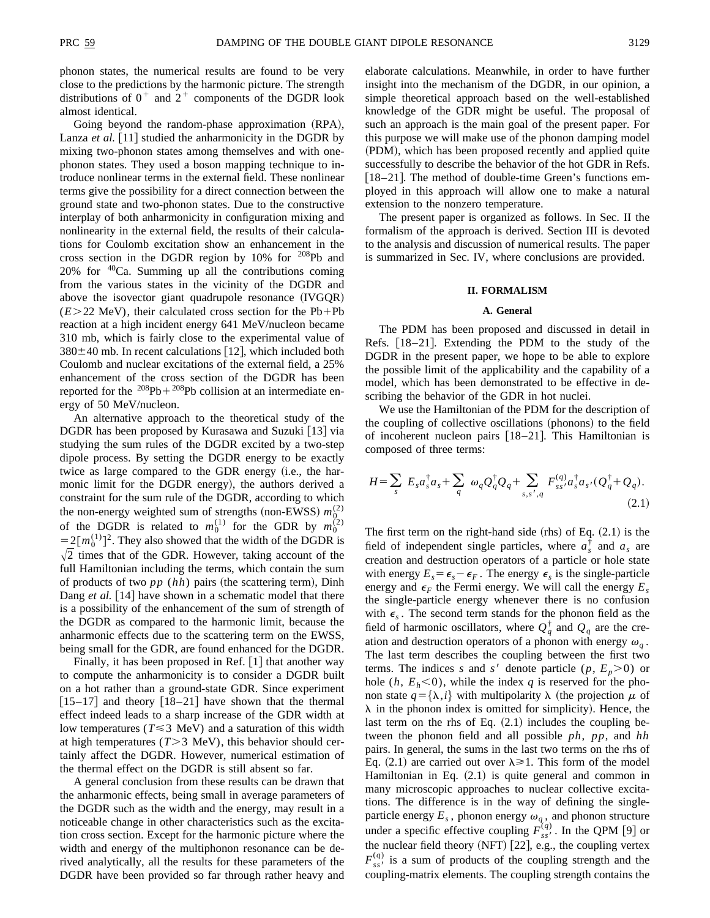phonon states, the numerical results are found to be very close to the predictions by the harmonic picture. The strength distributions of  $0^+$  and  $2^+$  components of the DGDR look almost identical.

Going beyond the random-phase approximation (RPA), Lanza *et al.* [11] studied the anharmonicity in the DGDR by mixing two-phonon states among themselves and with onephonon states. They used a boson mapping technique to introduce nonlinear terms in the external field. These nonlinear terms give the possibility for a direct connection between the ground state and two-phonon states. Due to the constructive interplay of both anharmonicity in configuration mixing and nonlinearity in the external field, the results of their calculations for Coulomb excitation show an enhancement in the cross section in the DGDR region by 10% for  $^{208}Pb$  and 20% for  $40$ Ca. Summing up all the contributions coming from the various states in the vicinity of the DGDR and above the isovector giant quadrupole resonance  $(IVGQR)$  $(E>22$  MeV), their calculated cross section for the Pb+Pb reaction at a high incident energy 641 MeV/nucleon became 310 mb, which is fairly close to the experimental value of  $380\pm40$  mb. In recent calculations [12], which included both Coulomb and nuclear excitations of the external field, a 25% enhancement of the cross section of the DGDR has been reported for the  $208Pb + 208Pb$  collision at an intermediate energy of 50 MeV/nucleon.

An alternative approach to the theoretical study of the DGDR has been proposed by Kurasawa and Suzuki  $\lceil 13 \rceil$  via studying the sum rules of the DGDR excited by a two-step dipole process. By setting the DGDR energy to be exactly twice as large compared to the GDR energy (i.e., the harmonic limit for the DGDR energy), the authors derived a constraint for the sum rule of the DGDR, according to which the non-energy weighted sum of strengths (non-EWSS)  $m_Q^{(2)}$ of the DGDR is related to  $m_0^{(1)}$  for the GDR by  $m_0^{(2)}$  $=2\left[m_0^{(1)}\right]^2$ . They also showed that the width of the DGDR is  $\sqrt{2}$  times that of the GDR. However, taking account of the full Hamiltonian including the terms, which contain the sum of products of two  $pp (hh)$  pairs (the scattering term), Dinh Dang *et al.* [14] have shown in a schematic model that there is a possibility of the enhancement of the sum of strength of the DGDR as compared to the harmonic limit, because the anharmonic effects due to the scattering term on the EWSS, being small for the GDR, are found enhanced for the DGDR.

Finally, it has been proposed in Ref.  $[1]$  that another way to compute the anharmonicity is to consider a DGDR built on a hot rather than a ground-state GDR. Since experiment  $[15–17]$  and theory  $[18–21]$  have shown that the thermal effect indeed leads to a sharp increase of the GDR width at low temperatures ( $T \le 3$  MeV) and a saturation of this width at high temperatures  $(T>3$  MeV), this behavior should certainly affect the DGDR. However, numerical estimation of the thermal effect on the DGDR is still absent so far.

A general conclusion from these results can be drawn that the anharmonic effects, being small in average parameters of the DGDR such as the width and the energy, may result in a noticeable change in other characteristics such as the excitation cross section. Except for the harmonic picture where the width and energy of the multiphonon resonance can be derived analytically, all the results for these parameters of the DGDR have been provided so far through rather heavy and elaborate calculations. Meanwhile, in order to have further insight into the mechanism of the DGDR, in our opinion, a simple theoretical approach based on the well-established knowledge of the GDR might be useful. The proposal of such an approach is the main goal of the present paper. For this purpose we will make use of the phonon damping model (PDM), which has been proposed recently and applied quite successfully to describe the behavior of the hot GDR in Refs.  $[18–21]$ . The method of double-time Green's functions employed in this approach will allow one to make a natural extension to the nonzero temperature.

The present paper is organized as follows. In Sec. II the formalism of the approach is derived. Section III is devoted to the analysis and discussion of numerical results. The paper is summarized in Sec. IV, where conclusions are provided.

### **II. FORMALISM**

### **A. General**

The PDM has been proposed and discussed in detail in Refs.  $[18–21]$ . Extending the PDM to the study of the DGDR in the present paper, we hope to be able to explore the possible limit of the applicability and the capability of a model, which has been demonstrated to be effective in describing the behavior of the GDR in hot nuclei.

We use the Hamiltonian of the PDM for the description of the coupling of collective oscillations (phonons) to the field of incoherent nucleon pairs  $[18–21]$ . This Hamiltonian is composed of three terms:

$$
H = \sum_{s} E_{s} a_{s}^{\dagger} a_{s} + \sum_{q} \omega_{q} Q_{q}^{\dagger} Q_{q} + \sum_{s,s',q} F_{ss'}^{(q)} a_{s}^{\dagger} a_{s'} (Q_{q}^{\dagger} + Q_{q}).
$$
\n(2.1)

The first term on the right-hand side (rhs) of Eq.  $(2.1)$  is the field of independent single particles, where  $a_s^{\dagger}$  and  $a_s$  are creation and destruction operators of a particle or hole state with energy  $E_s = \epsilon_s - \epsilon_F$ . The energy  $\epsilon_s$  is the single-particle energy and  $\epsilon_F$  the Fermi energy. We will call the energy  $E_s$ the single-particle energy whenever there is no confusion with  $\epsilon_s$ . The second term stands for the phonon field as the field of harmonic oscillators, where  $Q_q^{\dagger}$  and  $Q_q$  are the creation and destruction operators of a phonon with energy  $\omega_q$ . The last term describes the coupling between the first two terms. The indices *s* and *s'* denote particle  $(p, E_p > 0)$  or hole  $(h, E_h<0)$ , while the index *q* is reserved for the phonon state  $q = {\lambda, i}$  with multipolarity  $\lambda$  (the projection  $\mu$  of  $\lambda$  in the phonon index is omitted for simplicity). Hence, the last term on the rhs of Eq.  $(2.1)$  includes the coupling between the phonon field and all possible *ph*, *pp*, and *hh* pairs. In general, the sums in the last two terms on the rhs of Eq. (2.1) are carried out over  $\lambda \ge 1$ . This form of the model Hamiltonian in Eq.  $(2.1)$  is quite general and common in many microscopic approaches to nuclear collective excitations. The difference is in the way of defining the singleparticle energy  $E_s$ , phonon energy  $\omega_q$ , and phonon structure under a specific effective coupling  $F_{ss}^{(q)}$ . In the QPM [9] or the nuclear field theory (NFT)  $[22]$ , e.g., the coupling vertex  $F_{ss}^{(q)}$  is a sum of products of the coupling strength and the coupling-matrix elements. The coupling strength contains the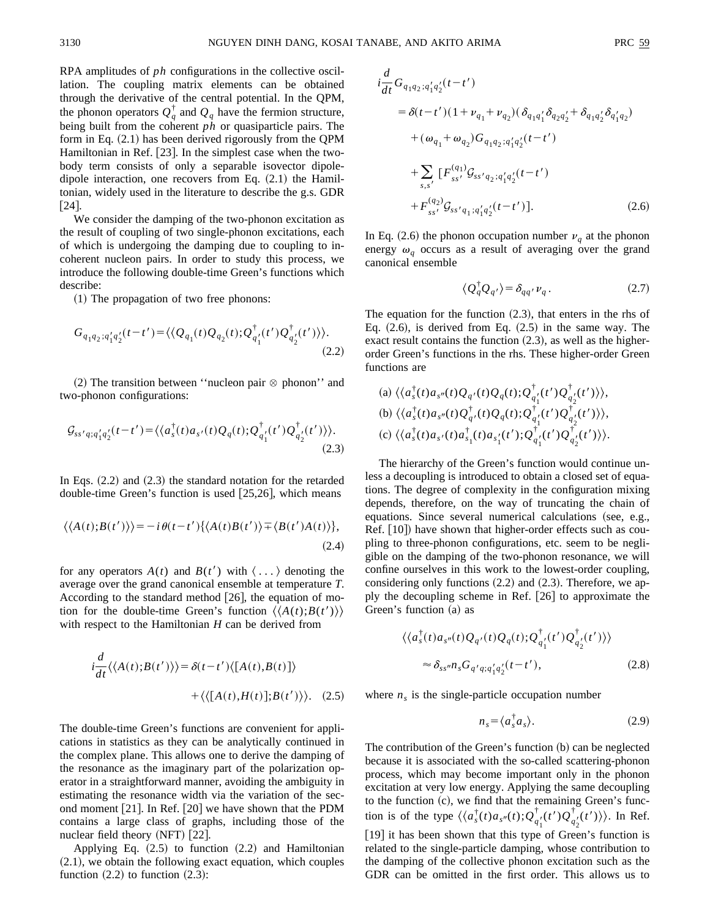RPA amplitudes of *ph* configurations in the collective oscillation. The coupling matrix elements can be obtained through the derivative of the central potential. In the QPM, the phonon operators  $Q_q^{\dagger}$  and  $Q_q$  have the fermion structure, being built from the coherent *ph* or quasiparticle pairs. The form in Eq.  $(2.1)$  has been derived rigorously from the QPM Hamiltonian in Ref. [23]. In the simplest case when the twobody term consists of only a separable isovector dipoledipole interaction, one recovers from Eq.  $(2.1)$  the Hamiltonian, widely used in the literature to describe the g.s. GDR  $\lceil 24 \rceil$ .

We consider the damping of the two-phonon excitation as the result of coupling of two single-phonon excitations, each of which is undergoing the damping due to coupling to incoherent nucleon pairs. In order to study this process, we introduce the following double-time Green's functions which describe:

 $(1)$  The propagation of two free phonons:

$$
G_{q_1q_2;q'_1q'_2}(t-t') = \langle \langle Q_{q_1}(t)Q_{q_2}(t); Q_{q'_1}^{\dagger}(t')Q_{q'_2}^{\dagger}(t') \rangle \rangle. \tag{2.2}
$$

(2) The transition between "nucleon pair  $\otimes$  phonon" and two-phonon configurations:

$$
\mathcal{G}_{ss'q;q'_{1}q'_{2}}(t-t') = \langle \langle a_s^{\dagger}(t)a_{s'}(t)Q_q(t); \mathcal{Q}_{q'_{1}}^{\dagger}(t')Q_{q'_{2}}^{\dagger}(t') \rangle \rangle. \tag{2.3}
$$

In Eqs.  $(2.2)$  and  $(2.3)$  the standard notation for the retarded double-time Green's function is used  $[25,26]$ , which means

$$
\langle \langle A(t); B(t') \rangle \rangle = -i \theta(t - t') \{ \langle A(t)B(t') \rangle \mp \langle B(t')A(t) \rangle \},
$$
\n(2.4)

for any operators  $A(t)$  and  $B(t')$  with  $\langle \ldots \rangle$  denoting the average over the grand canonical ensemble at temperature *T*. According to the standard method  $[26]$ , the equation of motion for the double-time Green's function  $\langle A(t); B(t') \rangle$ with respect to the Hamiltonian *H* can be derived from

$$
i\frac{d}{dt}\langle\langle A(t);B(t')\rangle\rangle = \delta(t-t')\langle[A(t),B(t)]\rangle
$$

$$
+\langle\langle[A(t),H(t)];B(t')\rangle\rangle. \quad (2.5)
$$

The double-time Green's functions are convenient for applications in statistics as they can be analytically continued in the complex plane. This allows one to derive the damping of the resonance as the imaginary part of the polarization operator in a straightforward manner, avoiding the ambiguity in estimating the resonance width via the variation of the second moment  $[21]$ . In Ref.  $[20]$  we have shown that the PDM contains a large class of graphs, including those of the nuclear field theory  $(NFT)$   $[22]$ .

Applying Eq.  $(2.5)$  to function  $(2.2)$  and Hamiltonian  $(2.1)$ , we obtain the following exact equation, which couples function  $(2.2)$  to function  $(2.3)$ :

$$
\begin{split}\ni\frac{d}{dt}G_{q_1q_2;q'_1q'_2}(t-t') \\
&= \delta(t-t')(1+v_{q_1}+v_{q_2})(\delta_{q_1q'_1}\delta_{q_2q'_2}+\delta_{q_1q'_2}\delta_{q'_1q_2}) \\
&+ (\omega_{q_1}+\omega_{q_2})G_{q_1q_2;q'_1q'_2}(t-t') \\
&+ \sum_{s,s'} \left[F_{ss'}^{(q_1)}\mathcal{G}_{ss'q_2;q'_1q'_2}(t-t')\right. \\
&+ F_{ss'}^{(q_2)}\mathcal{G}_{ss'q_1;q'_1q'_2}(t-t')].\n\end{split} \tag{2.6}
$$

In Eq. (2.6) the phonon occupation number  $\nu_q$  at the phonon energy  $\omega_q$  occurs as a result of averaging over the grand canonical ensemble

$$
\langle Q_q^{\dagger} Q_q \rangle = \delta_{qq'} \nu_q \,. \tag{2.7}
$$

The equation for the function  $(2.3)$ , that enters in the rhs of Eq.  $(2.6)$ , is derived from Eq.  $(2.5)$  in the same way. The exact result contains the function  $(2.3)$ , as well as the higherorder Green's functions in the rhs. These higher-order Green functions are

(a) 
$$
\langle \langle a_s^{\dagger}(t)a_{s''}(t)Q_{q'}(t)Q_q(t); Q_{q'}^{\dagger}(t')Q_{q'_{2}}^{\dagger}(t') \rangle \rangle
$$
,  
\n(b)  $\langle \langle a_s^{\dagger}(t)a_{s''}(t)Q_{q'}^{\dagger}(t)Q_q(t); Q_{q'_{1}}^{\dagger}(t')Q_{q'_{2}}^{\dagger}(t') \rangle \rangle$ ,  
\n(c)  $\langle \langle a_s^{\dagger}(t)a_{s'}(t)a_{s_1}^{\dagger}(t)a_{s'_1}^{\dagger}(t'); Q_{q'_{1}}^{\dagger}(t')Q_{q'_{2}}^{\dagger}(t') \rangle \rangle$ .

The hierarchy of the Green's function would continue unless a decoupling is introduced to obtain a closed set of equations. The degree of complexity in the configuration mixing depends, therefore, on the way of truncating the chain of equations. Since several numerical calculations (see, e.g., Ref.  $[10]$  have shown that higher-order effects such as coupling to three-phonon configurations, etc. seem to be negligible on the damping of the two-phonon resonance, we will confine ourselves in this work to the lowest-order coupling, considering only functions  $(2.2)$  and  $(2.3)$ . Therefore, we apply the decoupling scheme in Ref.  $[26]$  to approximate the Green's function  $(a)$  as

$$
\langle \langle a_s^{\dagger}(t) a_{s''}(t) Q_{q'}(t) Q_q(t) ; Q_{q'_1}^{\dagger}(t') Q_{q'_2}^{\dagger}(t') \rangle \rangle
$$
  

$$
\approx \delta_{ss''} n_s G_{q'q;q'_1q'_2}(t-t'), \qquad (2.8)
$$

where  $n<sub>s</sub>$  is the single-particle occupation number

$$
n_s = \langle a_s^\dagger a_s \rangle. \tag{2.9}
$$

The contribution of the Green's function  $(b)$  can be neglected because it is associated with the so-called scattering-phonon process, which may become important only in the phonon excitation at very low energy. Applying the same decoupling to the function  $(c)$ , we find that the remaining Green's function is of the type  $\langle \langle a_s^{\dagger}(t) a_{s''}(t) ; Q_{q'_1}^{\dagger}(t') Q_{q'_2}^{\dagger}(t') \rangle \rangle$ . In Ref. [19] it has been shown that this type of Green's function is related to the single-particle damping, whose contribution to the damping of the collective phonon excitation such as the GDR can be omitted in the first order. This allows us to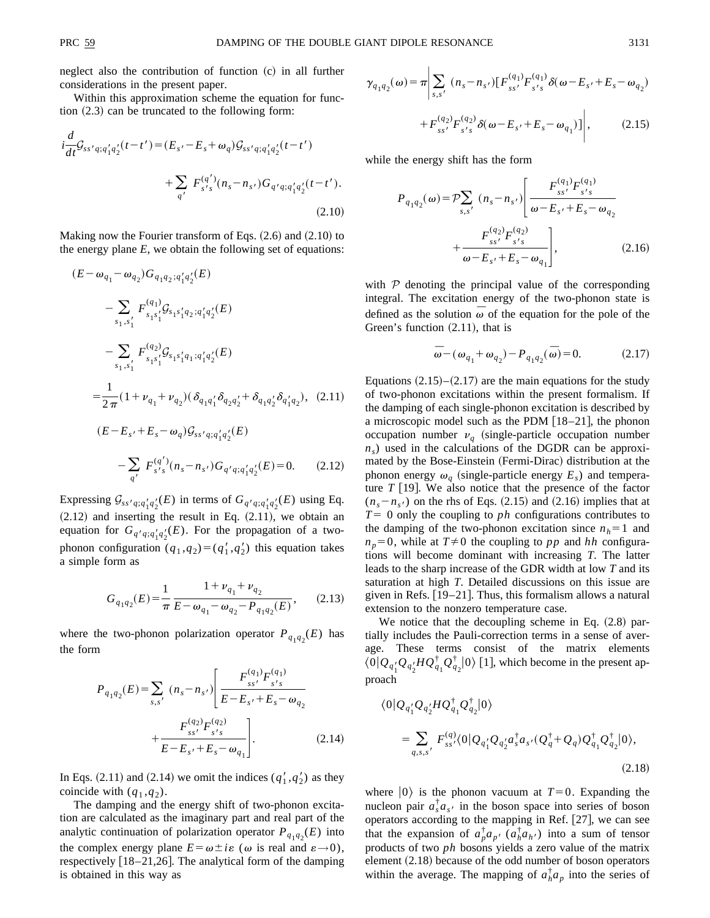neglect also the contribution of function (c) in all further considerations in the present paper.

Within this approximation scheme the equation for function  $(2.3)$  can be truncated to the following form:

$$
i\frac{d}{dt}\mathcal{G}_{ss'q;q'_{1}q'_{2}}(t-t') = (E_{s'} - E_{s} + \omega_{q})\mathcal{G}_{ss'q;q'_{1}q'_{2}}(t-t')
$$
  
+ 
$$
\sum_{q'} F_{s's}^{(q')} (n_{s} - n_{s'}) G_{q'q;q'_{1}q'_{2}}(t-t').
$$
\n(2.10)

Making now the Fourier transform of Eqs.  $(2.6)$  and  $(2.10)$  to the energy plane *E*, we obtain the following set of equations:

$$
(E - \omega_{q_1} - \omega_{q_2}) G_{q_1 q_2; q'_1 q'_2}(E)
$$
  
\n
$$
- \sum_{s_1, s'_1} F_{s_1 s'_1}^{(q_1)} \mathcal{G}_{s_1 s'_1 q_2; q'_1 q'_2}(E)
$$
  
\n
$$
- \sum_{s_1, s'_1} F_{s_1 s'_1}^{(q_2)} \mathcal{G}_{s_1 s'_1 q_1; q'_1 q'_2}(E)
$$
  
\n
$$
= \frac{1}{2\pi} (1 + \nu_{q_1} + \nu_{q_2}) (\delta_{q_1 q'_1} \delta_{q_2 q'_2} + \delta_{q_1 q'_2} \delta_{q'_1 q_2}), (2.11)
$$
  
\n
$$
(E - E_{s'} + E_s - \omega_q) \mathcal{G}_{s s' q; q'_1 q'_2}(E)
$$
  
\n
$$
- \sum_{q'} F_{s's}^{(q')} (n_s - n_{s'}) G_{q' q; q'_1 q'_2}(E) = 0. (2.12)
$$

Expressing  $\mathcal{G}_{ss'q;q'_1q'_2}(E)$  in terms of  $G_{q'q;q'_1q'_2}(E)$  using Eq.  $(2.12)$  and inserting the result in Eq.  $(2.11)$ , we obtain an equation for  $G_{q'q;q'_1q'_2}(E)$ . For the propagation of a twophonon configuration  $(q_1, q_2) = (q'_1, q'_2)$  this equation takes a simple form as

$$
G_{q_1q_2}(E) = \frac{1}{\pi} \frac{1 + \nu_{q_1} + \nu_{q_2}}{E - \omega_{q_1} - \omega_{q_2} - P_{q_1q_2}(E)},
$$
 (2.13)

where the two-phonon polarization operator  $P_{q_1q_2}(E)$  has the form

$$
P_{q_1q_2}(E) = \sum_{s,s'} (n_s - n_{s'}) \left[ \frac{F_{ss'}^{(q_1)} F_{s's}^{(q_1)}}{E - E_{s'} + E_s - \omega_{q_2}} + \frac{F_{ss'}^{(q_2)} F_{s's}^{(q_2)}}{E - E_{s'} + E_s - \omega_{q_1}} \right].
$$
 (2.14)

In Eqs.  $(2.11)$  and  $(2.14)$  we omit the indices  $(q'_1, q'_2)$  as they coincide with  $(q_1, q_2)$ .

The damping and the energy shift of two-phonon excitation are calculated as the imaginary part and real part of the analytic continuation of polarization operator  $P_{q_1q_2}(E)$  into the complex energy plane  $E = \omega \pm i\varepsilon$  ( $\omega$  is real and  $\varepsilon \rightarrow 0$ ), respectively  $[18–21,26]$ . The analytical form of the damping is obtained in this way as

$$
\gamma_{q_1 q_2}(\omega) = \pi \left| \sum_{s,s'} (n_s - n_{s'}) \left[ F_{ss'}^{(q_1)} F_{s's}^{(q_1)} \delta(\omega - E_{s'} + E_s - \omega_{q_2}) \right. \right. \\ \left. + F_{ss'}^{(q_2)} F_{s's}^{(q_2)} \delta(\omega - E_{s'} + E_s - \omega_{q_1}) \right] \right|, \tag{2.15}
$$

while the energy shift has the form

$$
P_{q_1q_2}(\omega) = \mathcal{P} \sum_{s,s'} (n_s - n_{s'}) \left[ \frac{F_{ss'}^{(q_1)} F_{s's}^{(q_1)}}{\omega - E_{s'} + E_s - \omega_{q_2}} + \frac{F_{ss'}^{(q_2)} F_{s's}^{(q_2)}}{\omega - E_{s'} + E_s - \omega_{q_1}} \right],
$$
(2.16)

with  $P$  denoting the principal value of the corresponding integral. The excitation energy of the two-phonon state is defined as the solution  $\overline{\omega}$  of the equation for the pole of the Green's function  $(2.11)$ , that is

$$
\bar{\omega} - (\omega_{q_1} + \omega_{q_2}) - P_{q_1 q_2}(\bar{\omega}) = 0. \tag{2.17}
$$

Equations  $(2.15)$ – $(2.17)$  are the main equations for the study of two-phonon excitations within the present formalism. If the damping of each single-phonon excitation is described by a microscopic model such as the PDM  $[18–21]$ , the phonon occupation number  $v_q$  (single-particle occupation number  $n<sub>s</sub>$ ) used in the calculations of the DGDR can be approximated by the Bose-Einstein (Fermi-Dirac) distribution at the phonon energy  $\omega_q$  (single-particle energy  $E_s$ ) and temperature  $T$  [19]. We also notice that the presence of the factor  $(n_s - n_{s'})$  on the rhs of Eqs. (2.15) and (2.16) implies that at  $T=0$  only the coupling to *ph* configurations contributes to the damping of the two-phonon excitation since  $n_h=1$  and  $n_p=0$ , while at  $T\neq 0$  the coupling to *pp* and *hh* configurations will become dominant with increasing *T*. The latter leads to the sharp increase of the GDR width at low *T* and its saturation at high *T*. Detailed discussions on this issue are given in Refs.  $[19–21]$ . Thus, this formalism allows a natural extension to the nonzero temperature case.

We notice that the decoupling scheme in Eq.  $(2.8)$  partially includes the Pauli-correction terms in a sense of average. These terms consist of the matrix elements  $\langle 0|Q_{q_1'}Q_{q_2'}HQ_{q_1}^{\dagger}Q_{q_2}^{\dagger}|0\rangle$  [1], which become in the present approach

$$
\langle 0|Q_{q'_1}Q_{q'_2}HQ_{q_1}^{\dagger}Q_{q_2}^{\dagger}|0\rangle
$$
  
= 
$$
\sum_{q,s,s'} F_{ss'}^{(q)} \langle 0|Q_{q'_1}Q_{q'_2}a_s^{\dagger}a_{s'}(Q_q^{\dagger} + Q_q)Q_{q_1}^{\dagger}Q_{q_2}^{\dagger}|0\rangle,
$$
  
(2.18)

where  $|0\rangle$  is the phonon vacuum at  $T=0$ . Expanding the nucleon pair  $a_s^{\dagger} a_s$  in the boson space into series of boson operators according to the mapping in Ref.  $[27]$ , we can see that the expansion of  $a_p^{\dagger} a_{p'} (a_h^{\dagger} a_h)$  into a sum of tensor products of two *ph* bosons yields a zero value of the matrix element  $(2.18)$  because of the odd number of boson operators within the average. The mapping of  $a_h^{\dagger} a_p$  into the series of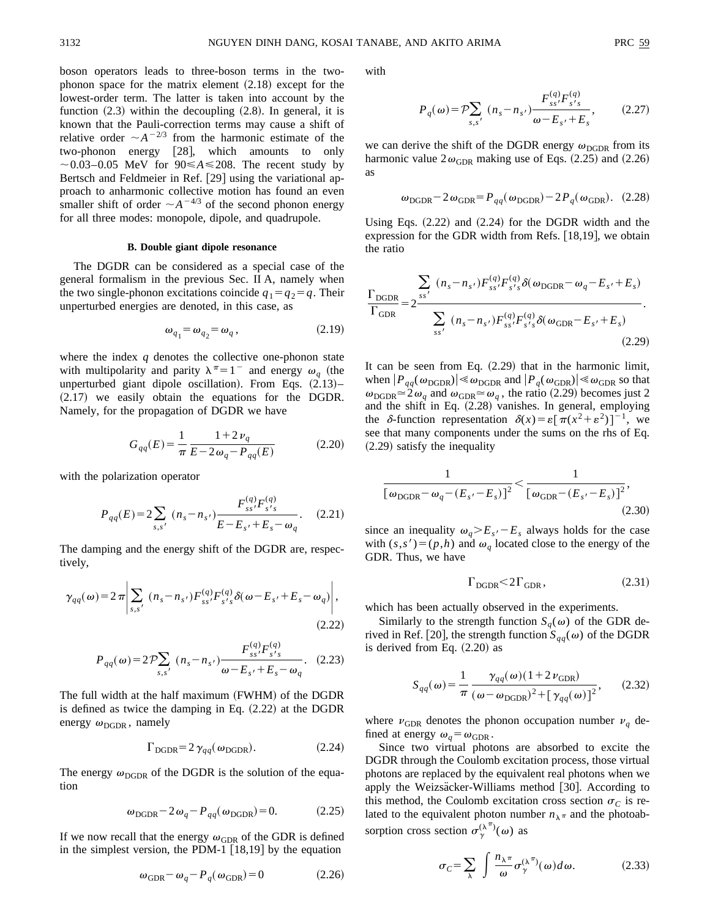boson operators leads to three-boson terms in the twophonon space for the matrix element  $(2.18)$  except for the lowest-order term. The latter is taken into account by the function  $(2.3)$  within the decoupling  $(2.8)$ . In general, it is known that the Pauli-correction terms may cause a shift of relative order  $\sim A^{-2/3}$  from the harmonic estimate of the two-phonon energy  $[28]$ , which amounts to only  $\sim$  0.03–0.05 MeV for 90  $\leq$  A  $\leq$  208. The recent study by Bertsch and Feldmeier in Ref. [29] using the variational approach to anharmonic collective motion has found an even smaller shift of order  $\sim A^{-4/3}$  of the second phonon energy for all three modes: monopole, dipole, and quadrupole.

### **B. Double giant dipole resonance**

The DGDR can be considered as a special case of the general formalism in the previous Sec. II A, namely when the two single-phonon excitations coincide  $q_1 = q_2 = q$ . Their unperturbed energies are denoted, in this case, as

$$
\omega_{q_1} = \omega_{q_2} = \omega_q, \qquad (2.19)
$$

where the index *q* denotes the collective one-phonon state with multipolarity and parity  $\lambda^{\pi}=1^-$  and energy  $\omega_a$  (the unperturbed giant dipole oscillation). From Eqs.  $(2.13)$ –  $(2.17)$  we easily obtain the equations for the DGDR. Namely, for the propagation of DGDR we have

$$
G_{qq}(E) = \frac{1}{\pi} \frac{1 + 2v_q}{E - 2\omega_q - P_{qq}(E)}\tag{2.20}
$$

with the polarization operator

$$
P_{qq}(E) = 2\sum_{s,s'} (n_s - n_{s'}) \frac{F_{ss'}^{(q)} F_{s's}^{(q)}}{E - E_{s'} + E_s - \omega_q}.
$$
 (2.21)

The damping and the energy shift of the DGDR are, respectively,

$$
\gamma_{qq}(\omega) = 2\pi \left| \sum_{s,s'} (n_s - n_{s'}) F_{ss'}^{(q)} F_{s's}^{(q)} \delta(\omega - E_{s'} + E_s - \omega_q) \right|, \tag{2.22}
$$

$$
P_{qq}(\omega) = 2\mathcal{P} \sum_{s,s'} (n_s - n_{s'}) \frac{F_{ss'}^{(q)} F_{s's}^{(q)}}{\omega - E_{s'} + E_s - \omega_q}.
$$
 (2.23)

The full width at the half maximum (FWHM) of the DGDR is defined as twice the damping in Eq.  $(2.22)$  at the DGDR energy  $\omega_{\text{DGDR}}$ , namely

$$
\Gamma_{\text{DGDR}} = 2 \gamma_{qq} (\omega_{\text{DGDR}}). \tag{2.24}
$$

The energy  $\omega_{\text{DGDR}}$  of the DGDR is the solution of the equation

$$
\omega_{\text{DGDR}} - 2\omega_q - P_{qq}(\omega_{\text{DGDR}}) = 0. \tag{2.25}
$$

If we now recall that the energy  $\omega_{GDR}$  of the GDR is defined in the simplest version, the PDM-1  $[18,19]$  by the equation

$$
\omega_{\text{GDR}} - \omega_q - P_q(\omega_{\text{GDR}}) = 0 \tag{2.26}
$$

with

$$
P_q(\omega) = \mathcal{P} \sum_{s,s'} (n_s - n_{s'}) \frac{F_{ss'}^{(q)} F_{s's}^{(q)}}{\omega - E_{s'} + E_s}, \qquad (2.27)
$$

we can derive the shift of the DGDR energy  $\omega_{\text{DGDR}}$  from its harmonic value  $2\omega_{\text{GDR}}$  making use of Eqs. (2.25) and (2.26) as

$$
\omega_{\text{DGDR}} - 2\omega_{\text{GDR}} = P_{qq}(\omega_{\text{DGDR}}) - 2P_q(\omega_{\text{GDR}}). \quad (2.28)
$$

Using Eqs.  $(2.22)$  and  $(2.24)$  for the DGDR width and the expression for the GDR width from Refs.  $[18,19]$ , we obtain the ratio

$$
\frac{\Gamma_{\text{DGDR}}}{\Gamma_{\text{GDR}}} = 2 \frac{\sum_{ss'} (n_s - n_{s'}) F_{ss'}^{(q)} F_{s's}^{(q)} \delta(\omega_{\text{DGDR}} - \omega_q - E_{s'} + E_s)}{\sum_{ss'} (n_s - n_{s'}) F_{ss'}^{(q)} F_{s's}^{(q)} \delta(\omega_{\text{GDR}} - E_{s'} + E_s)}
$$
\n(2.29)

It can be seen from Eq.  $(2.29)$  that in the harmonic limit, when  $|P_{qq}(\omega_{\text{DGDR}})| \ll \omega_{\text{DGDR}}$  and  $|P_q(\omega_{\text{GDR}})| \ll \omega_{\text{GDR}}$  so that  $\omega_{\text{DGDR}} \simeq 2\omega_q$  and  $\omega_{\text{GDR}} \simeq \omega_q$ , the ratio (2.29) becomes just 2 and the shift in Eq.  $(2.28)$  vanishes. In general, employing the  $\delta$ -function representation  $\delta(x) = \varepsilon [\pi(x^2 + \varepsilon^2)]^{-1}$ , we see that many components under the sums on the rhs of Eq.  $(2.29)$  satisfy the inequality

$$
\frac{1}{\left[\omega_{\text{DGDR}} - \omega_q - (E_{s'} - E_s)\right]^2} < \frac{1}{\left[\omega_{\text{GDR}} - (E_{s'} - E_s)\right]^2},\tag{2.30}
$$

since an inequality  $\omega_q > E_s - E_s$  always holds for the case with  $(s, s') = (p, h)$  and  $\omega_q$  located close to the energy of the GDR. Thus, we have

$$
\Gamma_{\text{DGDR}} \le 2\Gamma_{\text{GDR}},\tag{2.31}
$$

which has been actually observed in the experiments.

Similarly to the strength function  $S_q(\omega)$  of the GDR derived in Ref. [20], the strength function  $S_{qq}(\omega)$  of the DGDR is derived from Eq.  $(2.20)$  as

$$
S_{qq}(\omega) = \frac{1}{\pi} \frac{\gamma_{qq}(\omega)(1 + 2\nu_{\text{GDR}})}{(\omega - \omega_{\text{DGDR}})^2 + [\gamma_{qq}(\omega)]^2},
$$
 (2.32)

where  $v_{\text{GDR}}$  denotes the phonon occupation number  $v_q$  defined at energy  $\omega_q = \omega_{\text{GDR}}$ .

Since two virtual photons are absorbed to excite the DGDR through the Coulomb excitation process, those virtual photons are replaced by the equivalent real photons when we apply the Weizsäcker-Williams method  $[30]$ . According to this method, the Coulomb excitation cross section  $\sigma_C$  is related to the equivalent photon number  $n_{\lambda} \pi$  and the photoabsorption cross section  $\sigma_{\gamma}^{(\lambda^{\pi})}(\omega)$  as

$$
\sigma_C = \sum_{\lambda} \int \frac{n_{\lambda} \pi}{\omega} \sigma_{\gamma}^{(\lambda \pi)}(\omega) d\omega.
$$
 (2.33)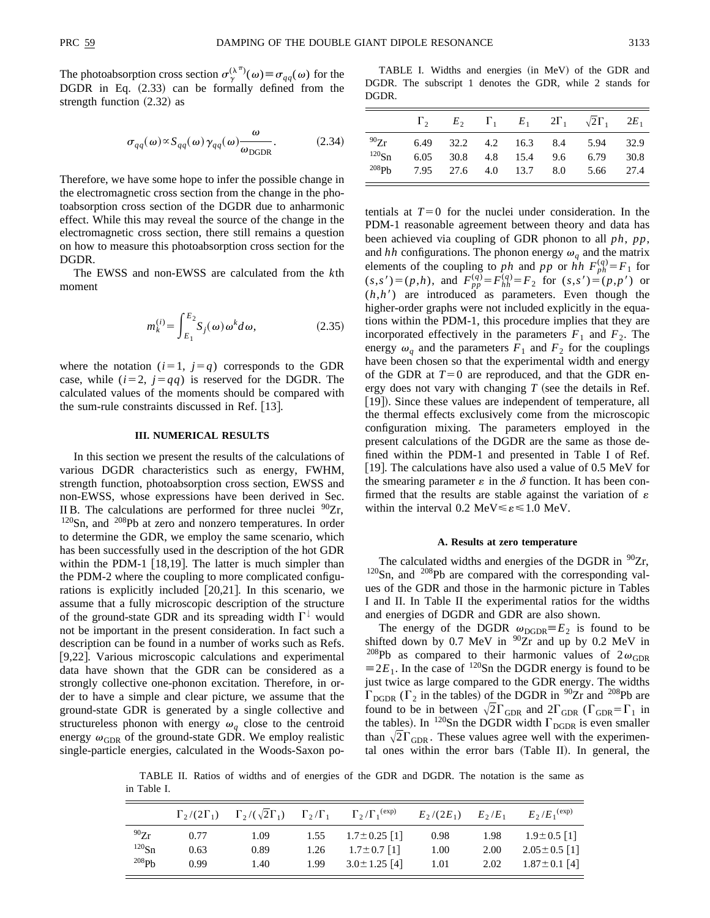The photoabsorption cross section  $\sigma_{\gamma}^{(\lambda^{\pi})}(\omega) \equiv \sigma_{qq}(\omega)$  for the DGDR in Eq.  $(2.33)$  can be formally defined from the strength function  $(2.32)$  as

$$
\sigma_{qq}(\omega) \propto S_{qq}(\omega) \gamma_{qq}(\omega) \frac{\omega}{\omega_{\text{DGDR}}}.
$$
 (2.34)

Therefore, we have some hope to infer the possible change in the electromagnetic cross section from the change in the photoabsorption cross section of the DGDR due to anharmonic effect. While this may reveal the source of the change in the electromagnetic cross section, there still remains a question on how to measure this photoabsorption cross section for the DGDR.

The EWSS and non-EWSS are calculated from the *k*th moment

$$
m_k^{(i)} = \int_{E_1}^{E_2} S_j(\omega) \omega^k d\omega, \qquad (2.35)
$$

where the notation  $(i=1, j=q)$  corresponds to the GDR case, while  $(i=2, j=qq)$  is reserved for the DGDR. The calculated values of the moments should be compared with the sum-rule constraints discussed in Ref.  $[13]$ .

### **III. NUMERICAL RESULTS**

In this section we present the results of the calculations of various DGDR characteristics such as energy, FWHM, strength function, photoabsorption cross section, EWSS and non-EWSS, whose expressions have been derived in Sec. II B. The calculations are performed for three nuclei  $^{90}Zr$ , <sup>120</sup>Sn, and <sup>208</sup>Pb at zero and nonzero temperatures. In order to determine the GDR, we employ the same scenario, which has been successfully used in the description of the hot GDR within the PDM-1  $[18,19]$ . The latter is much simpler than the PDM-2 where the coupling to more complicated configurations is explicitly included  $[20,21]$ . In this scenario, we assume that a fully microscopic description of the structure of the ground-state GDR and its spreading width  $\Gamma^{\downarrow}$  would not be important in the present consideration. In fact such a description can be found in a number of works such as Refs. [9,22]. Various microscopic calculations and experimental data have shown that the GDR can be considered as a strongly collective one-phonon excitation. Therefore, in order to have a simple and clear picture, we assume that the ground-state GDR is generated by a single collective and structureless phonon with energy  $\omega_a$  close to the centroid energy  $\omega_{\text{GDR}}$  of the ground-state GDR. We employ realistic single-particle energies, calculated in the Woods-Saxon po-

TABLE I. Widths and energies (in MeV) of the GDR and DGDR. The subscript 1 denotes the GDR, while 2 stands for DGDR.

|                                  |  |  | $\Gamma_2$ $E_2$ $\Gamma_1$ $E_1$ $2\Gamma_1$ $\sqrt{2}\Gamma_1$ $2E_1$                                               |      |
|----------------------------------|--|--|-----------------------------------------------------------------------------------------------------------------------|------|
| $^{90}Zr$<br>$^{120}\mathrm{Sn}$ |  |  | 6.49 32.2 4.2 16.3 8.4 5.94 32.9<br>6.05 30.8 4.8 15.4 9.6 6.79<br><sup>208</sup> Pb 7.95 27.6 4.0 13.7 8.0 5.66 27.4 | 30.8 |

tentials at  $T=0$  for the nuclei under consideration. In the PDM-1 reasonable agreement between theory and data has been achieved via coupling of GDR phonon to all *ph*, *pp*, and *hh* configurations. The phonon energy  $\omega_q$  and the matrix elements of the coupling to *ph* and *pp* or *hh*  $F_{ph}^{(q)} = F_1$  for  $(s,s') = (p,h)$ , and  $F_{pp}^{(q)} = F_{hh}^{(q)} = F_2$  for  $(s,s') = (p,p')$  or  $(h,h')$  are introduced as parameters. Even though the higher-order graphs were not included explicitly in the equations within the PDM-1, this procedure implies that they are incorporated effectively in the parameters  $F_1$  and  $F_2$ . The energy  $\omega_q$  and the parameters  $F_1$  and  $F_2$  for the couplings have been chosen so that the experimental width and energy of the GDR at  $T=0$  are reproduced, and that the GDR energy does not vary with changing  $T$  (see the details in Ref. [19]). Since these values are independent of temperature, all the thermal effects exclusively come from the microscopic configuration mixing. The parameters employed in the present calculations of the DGDR are the same as those defined within the PDM-1 and presented in Table I of Ref.  $\vert$  19. The calculations have also used a value of 0.5 MeV for the smearing parameter  $\varepsilon$  in the  $\delta$  function. It has been confirmed that the results are stable against the variation of  $\varepsilon$ within the interval 0.2 MeV $\leq \varepsilon \leq 1.0$  MeV.

### **A. Results at zero temperature**

The calculated widths and energies of the DGDR in  $\frac{90}{2}$ r,  $120$ Sn, and  $208$ Pb are compared with the corresponding values of the GDR and those in the harmonic picture in Tables I and II. In Table II the experimental ratios for the widths and energies of DGDR and GDR are also shown.

The energy of the DGDR  $\omega_{\text{DGDR}}=E_2$  is found to be shifted down by  $0.7 \text{ MeV}$  in  $90Zr$  and up by  $0.2 \text{ MeV}$  in <sup>208</sup>Pb as compared to their harmonic values of  $2\omega_{\text{GDR}}$  $\equiv$  2*E*<sub>1</sub>. In the case of <sup>120</sup>Sn the DGDR energy is found to be just twice as large compared to the GDR energy. The widths  $\Gamma_{\text{DGDR}}$  ( $\Gamma_2$  in the tables) of the DGDR in <sup>90</sup>Zr and <sup>208</sup>Pb are found to be in between  $\sqrt{2\Gamma_{\text{GDR}}}$  and  $2\Gamma_{\text{GDR}}$  ( $\Gamma_{\text{GDR}}=\Gamma_1$  in the tables). In <sup>120</sup>Sn the DGDR width  $\Gamma_{\text{DGDR}}$  is even smaller than  $\sqrt{2}\Gamma_{\text{GDR}}$ . These values agree well with the experimental ones within the error bars (Table II). In general, the

TABLE II. Ratios of widths and of energies of the GDR and DGDR. The notation is the same as in Table I.

|            | $\Gamma_2/(2\Gamma_1)$ | $\Gamma_2/(\sqrt{2}\Gamma_1)$ | $\Gamma_2/\Gamma_1$ | $\Gamma_2/\Gamma_1^{\text{(exp)}}$ | $E_2/(2E_1)$ | $E_2/E_1$ | $E_2/E_1^{\text{(exp)}}$ |
|------------|------------------------|-------------------------------|---------------------|------------------------------------|--------------|-----------|--------------------------|
| $^{90}Zr$  | 0.77                   | 1.09                          | 1.55                | $1.7 \pm 0.25$ [1]                 | 0.98         | 1.98      | $1.9 \pm 0.5$ [1]        |
| $^{120}Sn$ | 0.63                   | 0.89                          | 1.26                | $1.7 \pm 0.7$ [1]                  | 1.00         | 2.00      | $2.05 \pm 0.5$ [1]       |
| 208Pb      | 0.99                   | 1.40                          | 1.99                | $3.0 \pm 1.25$ [4]                 | 1.01         | 2.02      | $1.87 \pm 0.1$ [4]       |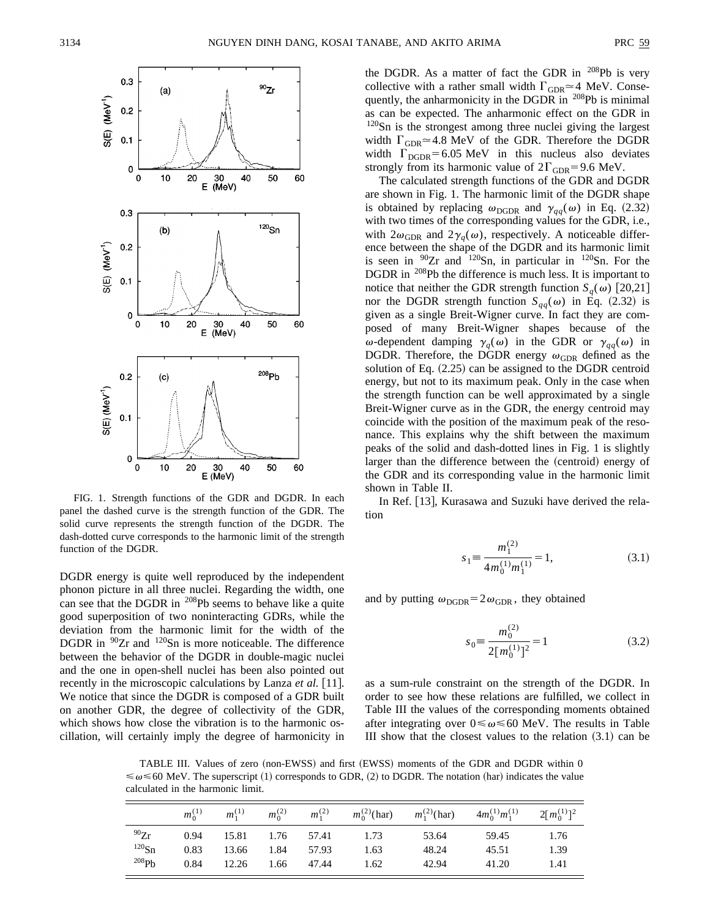

FIG. 1. Strength functions of the GDR and DGDR. In each panel the dashed curve is the strength function of the GDR. The solid curve represents the strength function of the DGDR. The dash-dotted curve corresponds to the harmonic limit of the strength function of the DGDR.

DGDR energy is quite well reproduced by the independent phonon picture in all three nuclei. Regarding the width, one can see that the DGDR in <sup>208</sup>Pb seems to behave like a quite good superposition of two noninteracting GDRs, while the deviation from the harmonic limit for the width of the DGDR in  $90Zr$  and  $120Sn$  is more noticeable. The difference between the behavior of the DGDR in double-magic nuclei and the one in open-shell nuclei has been also pointed out recently in the microscopic calculations by Lanza *et al.* [11]. We notice that since the DGDR is composed of a GDR built on another GDR, the degree of collectivity of the GDR, which shows how close the vibration is to the harmonic oscillation, will certainly imply the degree of harmonicity in the DGDR. As a matter of fact the GDR in  $^{208}Pb$  is very collective with a rather small width  $\Gamma_{\text{GDR}} \simeq 4$  MeV. Consequently, the anharmonicity in the DGDR in <sup>208</sup>Pb is minimal as can be expected. The anharmonic effect on the GDR in <sup>120</sup>Sn is the strongest among three nuclei giving the largest width  $\Gamma_{\text{GDR}} \approx 4.8$  MeV of the GDR. Therefore the DGDR width  $\Gamma_{\text{DGDR}}$ =6.05 MeV in this nucleus also deviates strongly from its harmonic value of  $2\Gamma_{\text{GDR}}=9.6$  MeV.

The calculated strength functions of the GDR and DGDR are shown in Fig. 1. The harmonic limit of the DGDR shape is obtained by replacing  $\omega_{\text{DGDR}}$  and  $\gamma_{qq}(\omega)$  in Eq. (2.32) with two times of the corresponding values for the GDR, i.e., with  $2\omega_{\text{GDR}}$  and  $2\gamma_q(\omega)$ , respectively. A noticeable difference between the shape of the DGDR and its harmonic limit is seen in  $90Zr$  and  $120Sn$ , in particular in  $120Sn$ . For the DGDR in <sup>208</sup>Pb the difference is much less. It is important to notice that neither the GDR strength function  $S_q(\omega)$  [20,21] nor the DGDR strength function  $S_{qq}(\omega)$  in Eq. (2.32) is given as a single Breit-Wigner curve. In fact they are composed of many Breit-Wigner shapes because of the  $\omega$ -dependent damping  $\gamma_q(\omega)$  in the GDR or  $\gamma_{qq}(\omega)$  in DGDR. Therefore, the DGDR energy  $\omega_{\rm GDR}$  defined as the solution of Eq.  $(2.25)$  can be assigned to the DGDR centroid energy, but not to its maximum peak. Only in the case when the strength function can be well approximated by a single Breit-Wigner curve as in the GDR, the energy centroid may coincide with the position of the maximum peak of the resonance. This explains why the shift between the maximum peaks of the solid and dash-dotted lines in Fig. 1 is slightly larger than the difference between the (centroid) energy of the GDR and its corresponding value in the harmonic limit shown in Table II.

In Ref. [13], Kurasawa and Suzuki have derived the relation

$$
s_1 \equiv \frac{m_1^{(2)}}{4m_0^{(1)}m_1^{(1)}} = 1,
$$
\n(3.1)

and by putting  $\omega_{\text{DGDR}}=2\omega_{\text{GDR}}$ , they obtained

$$
s_0 \equiv \frac{m_0^{(2)}}{2[m_0^{(1)}]^2} = 1
$$
 (3.2)

as a sum-rule constraint on the strength of the DGDR. In order to see how these relations are fulfilled, we collect in Table III the values of the corresponding moments obtained after integrating over  $0 \le \omega \le 60$  MeV. The results in Table III show that the closest values to the relation  $(3.1)$  can be

TABLE III. Values of zero (non-EWSS) and first (EWSS) moments of the GDR and DGDR within 0  $\leq \omega \leq 60$  MeV. The superscript (1) corresponds to GDR, (2) to DGDR. The notation (har) indicates the value calculated in the harmonic limit.

|           | $m_0^{(1)}$ | $m_1^{(1)}$ | $m_0^{(2)}$ | $m_1^{(2)}$ | $m_0^{(2)}$ (har) | $m_1^{(2)}$ (har) | $4m_0^{(1)}m_1^{(1)}$ | $2\lceil m_0^{(1)} \rceil^2$ |
|-----------|-------------|-------------|-------------|-------------|-------------------|-------------------|-----------------------|------------------------------|
| $^{90}Zr$ | 0.94        | 15.81       | 1.76        | 57.41       | 1.73              | 53.64             | 59.45                 | 1.76                         |
| $120$ Sn  | 0.83        | 13.66       | 1.84        | 57.93       | 1.63              | 48.24             | 45.51                 | 1.39                         |
| 208Pb     | 0.84        | 12.26       | 1.66        | 47.44       | 1.62              | 42.94             | 41.20                 | 1.41                         |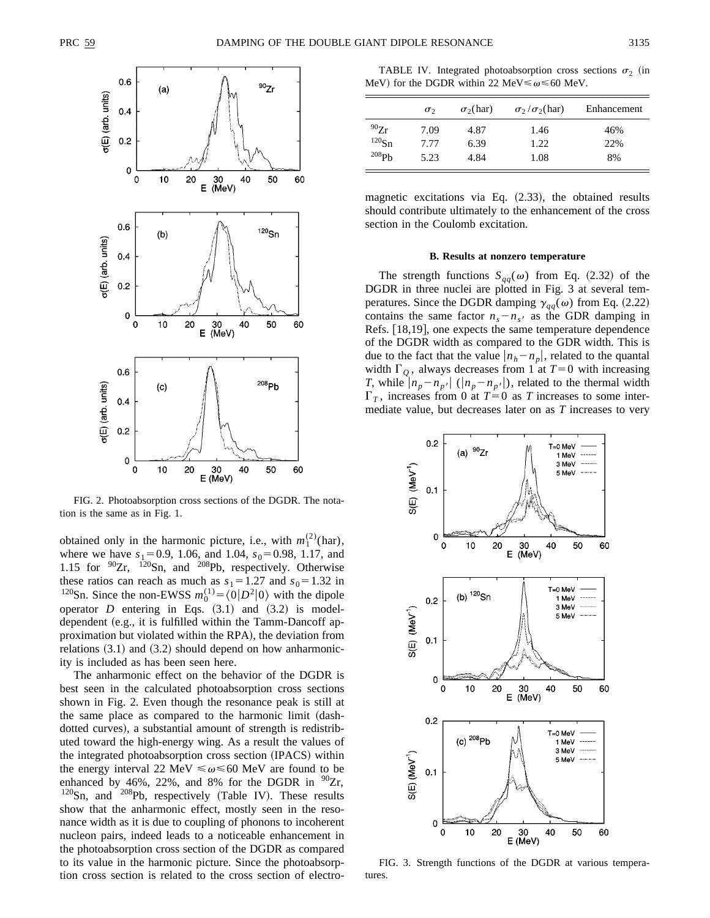

FIG. 2. Photoabsorption cross sections of the DGDR. The notation is the same as in Fig. 1.

obtained only in the harmonic picture, i.e., with  $m_1^{(2)}$ (har), where we have  $s_1 = 0.9$ , 1.06, and 1.04,  $s_0 = 0.98$ , 1.17, and 1.15 for  $^{90}Zr$ ,  $^{120}Sn$ , and  $^{208}Pb$ , respectively. Otherwise these ratios can reach as much as  $s_1 = 1.27$  and  $s_0 = 1.32$  in <sup>120</sup>Sn. Since the non-EWSS  $m_0^{(1)} = \langle 0 | D^2 | 0 \rangle$  with the dipole operator *D* entering in Eqs.  $(3.1)$  and  $(3.2)$  is modeldependent  $(e.g., it is fulfilled within the Tamm-Dancoff ap$ proximation but violated within the RPA), the deviation from relations  $(3.1)$  and  $(3.2)$  should depend on how anharmonicity is included as has been seen here.

The anharmonic effect on the behavior of the DGDR is best seen in the calculated photoabsorption cross sections shown in Fig. 2. Even though the resonance peak is still at the same place as compared to the harmonic limit (dashdotted curves), a substantial amount of strength is redistributed toward the high-energy wing. As a result the values of the integrated photoabsorption cross section (IPACS) within the energy interval 22 MeV  $\leq \omega \leq 60$  MeV are found to be enhanced by 46%, 22%, and 8% for the DGDR in  $90Zr$ ,  $120$ Sn, and  $208$ Pb, respectively (Table IV). These results show that the anharmonic effect, mostly seen in the resonance width as it is due to coupling of phonons to incoherent nucleon pairs, indeed leads to a noticeable enhancement in the photoabsorption cross section of the DGDR as compared to its value in the harmonic picture. Since the photoabsorption cross section is related to the cross section of electro-

TABLE IV. Integrated photoabsorption cross sections  $\sigma_2$  (in MeV) for the DGDR within 22 MeV $\leq \omega \leq 60$  MeV.

|            | $\sigma_{2}$ | $\sigma_2$ (har) | $\sigma_2/\sigma_2(\text{har})$ | Enhancement |
|------------|--------------|------------------|---------------------------------|-------------|
| $^{90}Zr$  | 7.09         | 4.87             | 1.46                            | 46%         |
| $^{120}Sn$ | 7.77         | 6.39             | 1.22                            | 22%         |
| $^{208}Ph$ | 5.23         | 4.84             | 1.08                            | 8%          |

magnetic excitations via Eq.  $(2.33)$ , the obtained results should contribute ultimately to the enhancement of the cross section in the Coulomb excitation.

#### **B. Results at nonzero temperature**

The strength functions  $S_{qq}(\omega)$  from Eq. (2.32) of the DGDR in three nuclei are plotted in Fig. 3 at several temperatures. Since the DGDR damping  $\gamma_{qq}(\omega)$  from Eq. (2.22) contains the same factor  $n_s - n_{s}$  as the GDR damping in Refs. [18,19], one expects the same temperature dependence of the DGDR width as compared to the GDR width. This is due to the fact that the value  $|n_h-n_p|$ , related to the quantal width  $\Gamma_Q$ , always decreases from 1 at  $T=0$  with increasing *T*, while  $|n_p - n_{p'}|$  ( $|n_p - n_{p'}|$ ), related to the thermal width  $\Gamma_T$ , increases from 0 at  $T=0$  as *T* increases to some intermediate value, but decreases later on as *T* increases to very



FIG. 3. Strength functions of the DGDR at various temperatures.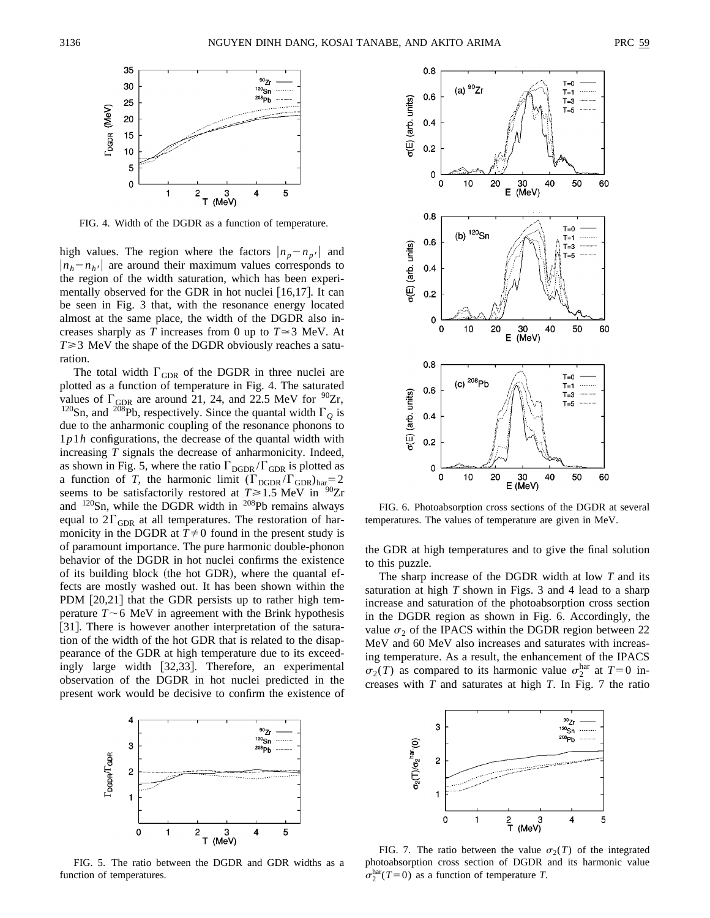

FIG. 4. Width of the DGDR as a function of temperature.

high values. The region where the factors  $|n_p - n_{p'}|$  and  $|n_h - n_{h'}|$  are around their maximum values corresponds to the region of the width saturation, which has been experimentally observed for the GDR in hot nuclei  $[16,17]$ . It can be seen in Fig. 3 that, with the resonance energy located almost at the same place, the width of the DGDR also increases sharply as *T* increases from 0 up to  $T \approx 3$  MeV. At  $T \geq 3$  MeV the shape of the DGDR obviously reaches a saturation.

The total width  $\Gamma_{\text{GDR}}$  of the DGDR in three nuclei are plotted as a function of temperature in Fig. 4. The saturated values of  $\Gamma_{\text{GDR}}$  are around 21, 24, and 22.5 MeV for  $^{90}Zr$ , <sup>120</sup>Sn, and <sup>208</sup>Pb, respectively. Since the quantal width  $\Gamma_Q$  is due to the anharmonic coupling of the resonance phonons to 1*p*1*h* configurations, the decrease of the quantal width with increasing *T* signals the decrease of anharmonicity. Indeed, as shown in Fig. 5, where the ratio  $\Gamma_{\text{DGDR}}/\Gamma_{\text{GDR}}$  is plotted as a function of *T*, the harmonic limit  $(\Gamma_{\text{DGDR}}/\Gamma_{\text{GDR}})_{\text{har}} = 2$ seems to be satisfactorily restored at  $T \ge 1.5$  MeV in <sup>90</sup>Zr and  $120$ Sn, while the DGDR width in  $208$ Pb remains always equal to  $2\Gamma_{\text{GDR}}$  at all temperatures. The restoration of harmonicity in the DGDR at  $T \neq 0$  found in the present study is of paramount importance. The pure harmonic double-phonon behavior of the DGDR in hot nuclei confirms the existence of its building block (the hot GDR), where the quantal effects are mostly washed out. It has been shown within the PDM  $[20,21]$  that the GDR persists up to rather high temperature  $T \sim 6$  MeV in agreement with the Brink hypothesis [31]. There is however another interpretation of the saturation of the width of the hot GDR that is related to the disappearance of the GDR at high temperature due to its exceedingly large width  $[32,33]$ . Therefore, an experimental observation of the DGDR in hot nuclei predicted in the present work would be decisive to confirm the existence of



FIG. 5. The ratio between the DGDR and GDR widths as a function of temperatures.



FIG. 6. Photoabsorption cross sections of the DGDR at several temperatures. The values of temperature are given in MeV.

the GDR at high temperatures and to give the final solution to this puzzle.

The sharp increase of the DGDR width at low *T* and its saturation at high *T* shown in Figs. 3 and 4 lead to a sharp increase and saturation of the photoabsorption cross section in the DGDR region as shown in Fig. 6. Accordingly, the value  $\sigma_2$  of the IPACS within the DGDR region between 22 MeV and 60 MeV also increases and saturates with increasing temperature. As a result, the enhancement of the IPACS  $\sigma_2(T)$  as compared to its harmonic value  $\sigma_2^{\text{har}}$  at  $T=0$  increases with *T* and saturates at high *T*. In Fig. 7 the ratio



FIG. 7. The ratio between the value  $\sigma_2(T)$  of the integrated photoabsorption cross section of DGDR and its harmonic value  $\sigma_2^{\text{har}}(T=0)$  as a function of temperature *T*.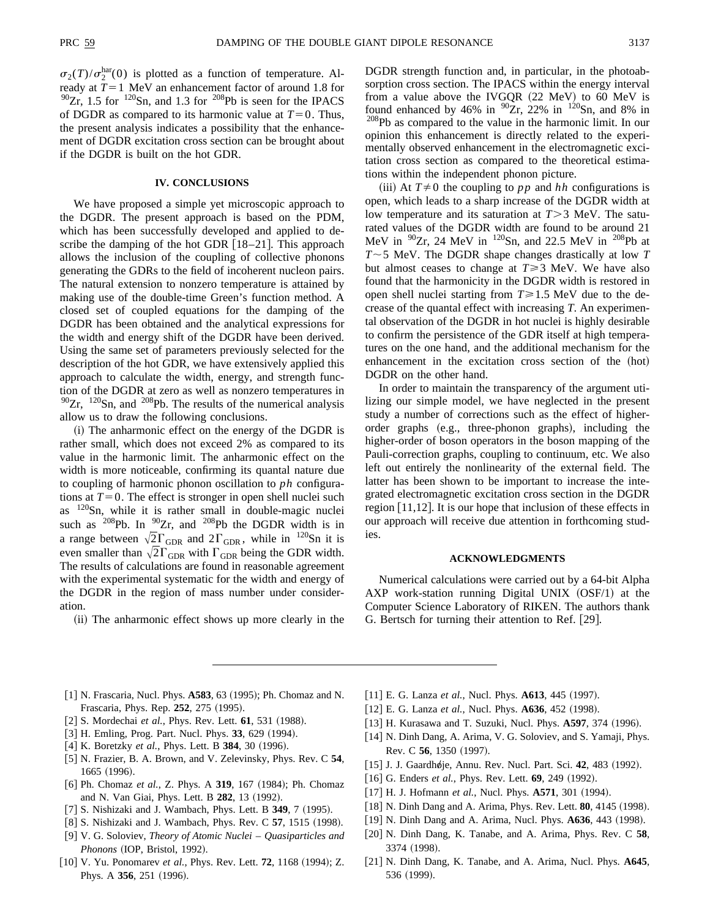$\sigma_2(T)/\sigma_2^{\text{har}}(0)$  is plotted as a function of temperature. Already at  $T=1$  MeV an enhancement factor of around 1.8 for  $90Zr$ , 1.5 for <sup>120</sup>Sn, and 1.3 for <sup>208</sup>Pb is seen for the IPACS of DGDR as compared to its harmonic value at  $T=0$ . Thus, the present analysis indicates a possibility that the enhancement of DGDR excitation cross section can be brought about if the DGDR is built on the hot GDR.

## **IV. CONCLUSIONS**

We have proposed a simple yet microscopic approach to the DGDR. The present approach is based on the PDM, which has been successfully developed and applied to describe the damping of the hot GDR  $[18–21]$ . This approach allows the inclusion of the coupling of collective phonons generating the GDRs to the field of incoherent nucleon pairs. The natural extension to nonzero temperature is attained by making use of the double-time Green's function method. A closed set of coupled equations for the damping of the DGDR has been obtained and the analytical expressions for the width and energy shift of the DGDR have been derived. Using the same set of parameters previously selected for the description of the hot GDR, we have extensively applied this approach to calculate the width, energy, and strength function of the DGDR at zero as well as nonzero temperatures in  $90Zr$ ,  $120Sn$ , and  $208Pb$ . The results of the numerical analysis allow us to draw the following conclusions.

(i) The anharmonic effect on the energy of the DGDR is rather small, which does not exceed 2% as compared to its value in the harmonic limit. The anharmonic effect on the width is more noticeable, confirming its quantal nature due to coupling of harmonic phonon oscillation to *ph* configurations at  $T=0$ . The effect is stronger in open shell nuclei such as 120Sn, while it is rather small in double-magic nuclei such as  $^{208}Pb$ . In  $^{90}Zr$ , and  $^{208}Pb$  the DGDR width is in a range between  $\sqrt{2}\Gamma_{\text{GDR}}$  and  $2\Gamma_{\text{GDR}}$ , while in  $^{120}\text{Sn}$  it is even smaller than  $\sqrt{2}\Gamma_{\text{GDR}}$  with  $\Gamma_{\text{GDR}}$  being the GDR width. The results of calculations are found in reasonable agreement with the experimental systematic for the width and energy of the DGDR in the region of mass number under consideration.

(ii) The anharmonic effect shows up more clearly in the

DGDR strength function and, in particular, in the photoabsorption cross section. The IPACS within the energy interval from a value above the IVGQR  $(22 \text{ MeV})$  to 60 MeV is found enhanced by 46% in  $90Zr$ , 22% in  $120Sn$ , and 8% in <sup>208</sup>Pb as compared to the value in the harmonic limit. In our opinion this enhancement is directly related to the experimentally observed enhancement in the electromagnetic excitation cross section as compared to the theoretical estimations within the independent phonon picture.

(iii) At  $T \neq 0$  the coupling to *pp* and *hh* configurations is open, which leads to a sharp increase of the DGDR width at low temperature and its saturation at  $T > 3$  MeV. The saturated values of the DGDR width are found to be around 21 MeV in  $90Zr$ , 24 MeV in  $120Sn$ , and 22.5 MeV in  $208Pb$  at  $T \sim$  5 MeV. The DGDR shape changes drastically at low *T* but almost ceases to change at  $T \ge 3$  MeV. We have also found that the harmonicity in the DGDR width is restored in open shell nuclei starting from  $T \ge 1.5$  MeV due to the decrease of the quantal effect with increasing *T*. An experimental observation of the DGDR in hot nuclei is highly desirable to confirm the persistence of the GDR itself at high temperatures on the one hand, and the additional mechanism for the enhancement in the excitation cross section of the (hot) DGDR on the other hand.

In order to maintain the transparency of the argument utilizing our simple model, we have neglected in the present study a number of corrections such as the effect of higherorder graphs (e.g., three-phonon graphs), including the higher-order of boson operators in the boson mapping of the Pauli-correction graphs, coupling to continuum, etc. We also left out entirely the nonlinearity of the external field. The latter has been shown to be important to increase the integrated electromagnetic excitation cross section in the DGDR region  $\lceil 11,12 \rceil$ . It is our hope that inclusion of these effects in our approach will receive due attention in forthcoming studies.

### **ACKNOWLEDGMENTS**

Numerical calculations were carried out by a 64-bit Alpha AXP work-station running Digital UNIX  $(OSF/1)$  at the Computer Science Laboratory of RIKEN. The authors thank G. Bertsch for turning their attention to Ref.  $\left[29\right]$ .

- [1] N. Frascaria, Nucl. Phys. **A583**, 63 (1995); Ph. Chomaz and N. Frascaria, Phys. Rep. 252, 275 (1995).
- [2] S. Mordechai et al., Phys. Rev. Lett. **61**, 531 (1988).
- [3] H. Emling, Prog. Part. Nucl. Phys. 33, 629 (1994).
- [4] K. Boretzky et al., Phys. Lett. B 384, 30 (1996).
- [5] N. Frazier, B. A. Brown, and V. Zelevinsky, Phys. Rev. C 54, 1665 (1996).
- [6] Ph. Chomaz et al., Z. Phys. A 319, 167 (1984); Ph. Chomaz and N. Van Giai, Phys. Lett. B **282**, 13 (1992).
- [7] S. Nishizaki and J. Wambach, Phys. Lett. B 349, 7 (1995).
- [8] S. Nishizaki and J. Wambach, Phys. Rev. C 57, 1515 (1998).
- @9# V. G. Soloviev, *Theory of Atomic Nuclei Quasiparticles and Phonons* (IOP, Bristol, 1992).
- [10] V. Yu. Ponomarev *et al.*, Phys. Rev. Lett. **72**, 1168 (1994); Z. Phys. A 356, 251 (1996).
- [11] E. G. Lanza *et al.*, Nucl. Phys. **A613**, 445 (1997).
- [12] E. G. Lanza *et al.*, Nucl. Phys. **A636**, 452 (1998).
- [13] H. Kurasawa and T. Suzuki, Nucl. Phys. **A597**, 374 (1996).
- [14] N. Dinh Dang, A. Arima, V. G. Soloviev, and S. Yamaji, Phys. Rev. C 56, 1350 (1997).
- [15] J. J. Gaardhøje, Annu. Rev. Nucl. Part. Sci. 42, 483 (1992).
- [16] G. Enders *et al.*, Phys. Rev. Lett. **69**, 249 (1992).
- [17] H. J. Hofmann *et al.*, Nucl. Phys. **A571**, 301 (1994).
- [18] N. Dinh Dang and A. Arima, Phys. Rev. Lett. **80**, 4145 (1998).
- [19] N. Dinh Dang and A. Arima, Nucl. Phys. **A636**, 443 (1998).
- [20] N. Dinh Dang, K. Tanabe, and A. Arima, Phys. Rev. C 58, 3374 (1998).
- [21] N. Dinh Dang, K. Tanabe, and A. Arima, Nucl. Phys. A645, 536 (1999).